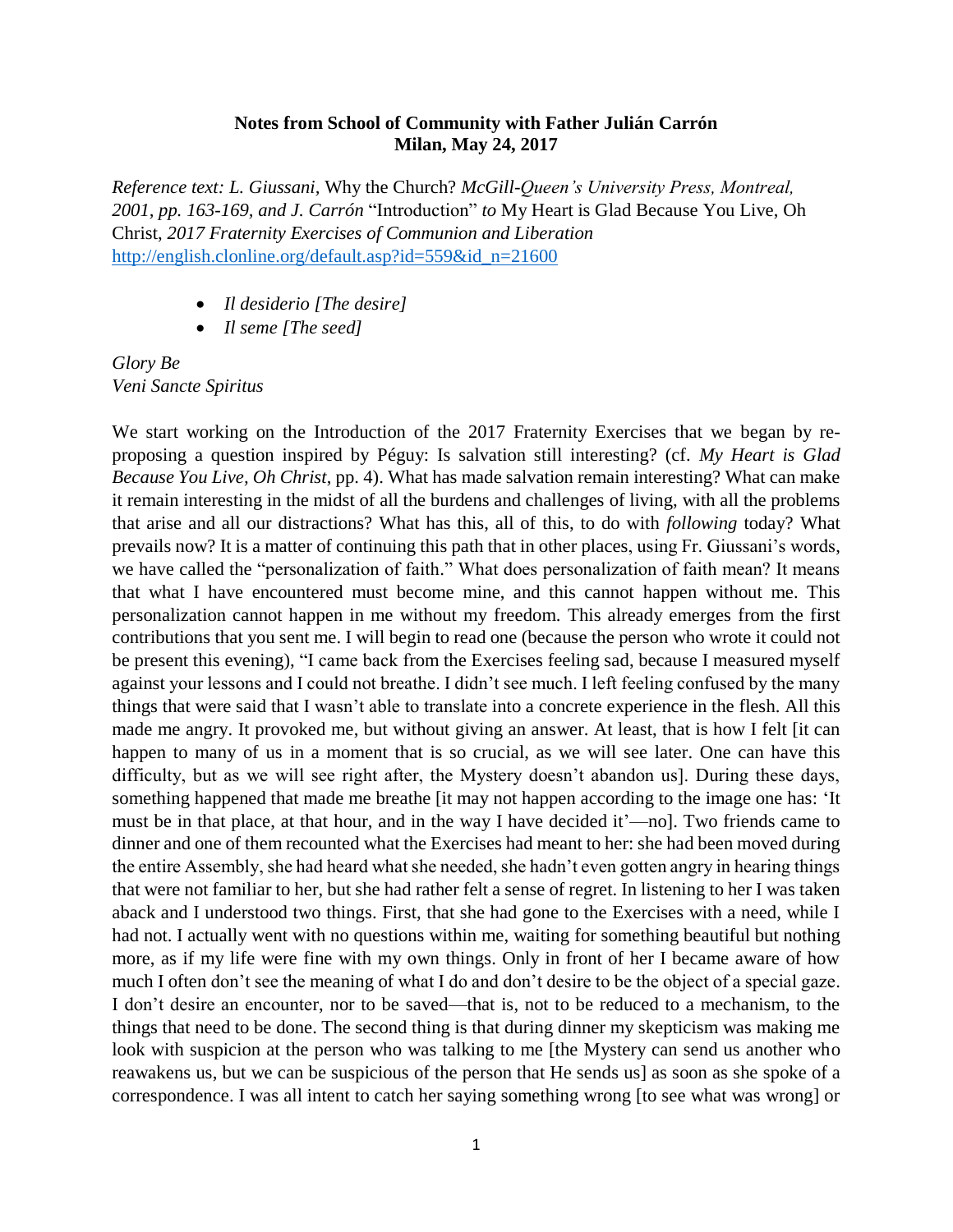## **Notes from School of Community with Father Julián Carrón Milan, May 24, 2017**

*Reference text: L. Giussani,* Why the Church? *McGill-Queen's University Press, Montreal, 2001, pp. 163-169, and J. Carrón* "Introduction" *to* My Heart is Glad Because You Live, Oh Christ, *2017 Fraternity Exercises of Communion and Liberation* [http://english.clonline.org/default.asp?id=559&id\\_n=21600](http://english.clonline.org/default.asp?id=559&id_n=21600)

- *Il desiderio [The desire]*
- *Il seme [The seed]*

*Glory Be Veni Sancte Spiritus*

We start working on the Introduction of the 2017 Fraternity Exercises that we began by reproposing a question inspired by Péguy: Is salvation still interesting? (cf. *My Heart is Glad Because You Live, Oh Christ*, pp. 4). What has made salvation remain interesting? What can make it remain interesting in the midst of all the burdens and challenges of living, with all the problems that arise and all our distractions? What has this, all of this, to do with *following* today? What prevails now? It is a matter of continuing this path that in other places, using Fr. Giussani's words, we have called the "personalization of faith." What does personalization of faith mean? It means that what I have encountered must become mine, and this cannot happen without me. This personalization cannot happen in me without my freedom. This already emerges from the first contributions that you sent me. I will begin to read one (because the person who wrote it could not be present this evening), "I came back from the Exercises feeling sad, because I measured myself against your lessons and I could not breathe. I didn't see much. I left feeling confused by the many things that were said that I wasn't able to translate into a concrete experience in the flesh. All this made me angry. It provoked me, but without giving an answer. At least, that is how I felt [it can happen to many of us in a moment that is so crucial, as we will see later. One can have this difficulty, but as we will see right after, the Mystery doesn't abandon us]. During these days, something happened that made me breathe [it may not happen according to the image one has: 'It must be in that place, at that hour, and in the way I have decided it'—no]. Two friends came to dinner and one of them recounted what the Exercises had meant to her: she had been moved during the entire Assembly, she had heard what she needed, she hadn't even gotten angry in hearing things that were not familiar to her, but she had rather felt a sense of regret. In listening to her I was taken aback and I understood two things. First, that she had gone to the Exercises with a need, while I had not. I actually went with no questions within me, waiting for something beautiful but nothing more, as if my life were fine with my own things. Only in front of her I became aware of how much I often don't see the meaning of what I do and don't desire to be the object of a special gaze. I don't desire an encounter, nor to be saved—that is, not to be reduced to a mechanism, to the things that need to be done. The second thing is that during dinner my skepticism was making me look with suspicion at the person who was talking to me [the Mystery can send us another who reawakens us, but we can be suspicious of the person that He sends us] as soon as she spoke of a correspondence. I was all intent to catch her saying something wrong [to see what was wrong] or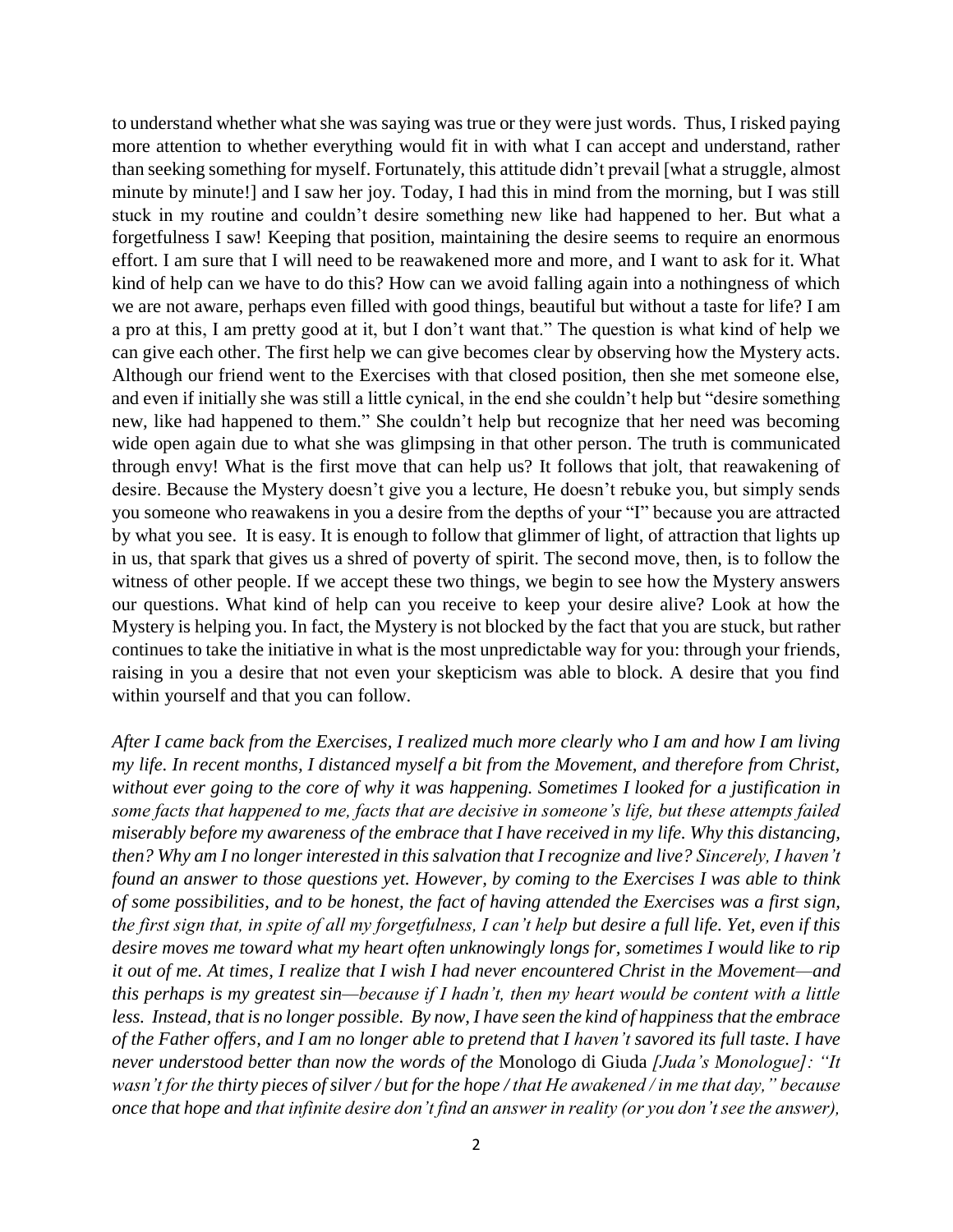to understand whether what she was saying was true or they were just words. Thus, I risked paying more attention to whether everything would fit in with what I can accept and understand, rather than seeking something for myself. Fortunately, this attitude didn't prevail [what a struggle, almost minute by minute!] and I saw her joy. Today, I had this in mind from the morning, but I was still stuck in my routine and couldn't desire something new like had happened to her. But what a forgetfulness I saw! Keeping that position, maintaining the desire seems to require an enormous effort. I am sure that I will need to be reawakened more and more, and I want to ask for it. What kind of help can we have to do this? How can we avoid falling again into a nothingness of which we are not aware, perhaps even filled with good things, beautiful but without a taste for life? I am a pro at this, I am pretty good at it, but I don't want that." The question is what kind of help we can give each other. The first help we can give becomes clear by observing how the Mystery acts. Although our friend went to the Exercises with that closed position, then she met someone else, and even if initially she was still a little cynical, in the end she couldn't help but "desire something new, like had happened to them." She couldn't help but recognize that her need was becoming wide open again due to what she was glimpsing in that other person. The truth is communicated through envy! What is the first move that can help us? It follows that jolt, that reawakening of desire. Because the Mystery doesn't give you a lecture, He doesn't rebuke you, but simply sends you someone who reawakens in you a desire from the depths of your "I" because you are attracted by what you see. It is easy. It is enough to follow that glimmer of light, of attraction that lights up in us, that spark that gives us a shred of poverty of spirit. The second move, then, is to follow the witness of other people. If we accept these two things, we begin to see how the Mystery answers our questions. What kind of help can you receive to keep your desire alive? Look at how the Mystery is helping you. In fact, the Mystery is not blocked by the fact that you are stuck, but rather continues to take the initiative in what is the most unpredictable way for you: through your friends, raising in you a desire that not even your skepticism was able to block. A desire that you find within yourself and that you can follow.

*After I came back from the Exercises, I realized much more clearly who I am and how I am living my life. In recent months, I distanced myself a bit from the Movement, and therefore from Christ, without ever going to the core of why it was happening. Sometimes I looked for a justification in some facts that happened to me, facts that are decisive in someone's life, but these attempts failed miserably before my awareness of the embrace that I have received in my life. Why this distancing, then? Why am I no longer interested in this salvation that I recognize and live? Sincerely, I haven't found an answer to those questions yet. However, by coming to the Exercises I was able to think of some possibilities, and to be honest, the fact of having attended the Exercises was a first sign, the first sign that, in spite of all my forgetfulness, I can't help but desire a full life. Yet, even if this desire moves me toward what my heart often unknowingly longs for, sometimes I would like to rip it out of me. At times, I realize that I wish I had never encountered Christ in the Movement—and this perhaps is my greatest sin—because if I hadn't, then my heart would be content with a little less. Instead, that is no longer possible. By now, I have seen the kind of happiness that the embrace of the Father offers, and I am no longer able to pretend that I haven't savored its full taste. I have never understood better than now the words of the* Monologo di Giuda *[Juda's Monologue]: "It wasn't for the thirty pieces of silver / but for the hope / that He awakened / in me that day," because once that hope and that infinite desire don't find an answer in reality (or you don't see the answer),*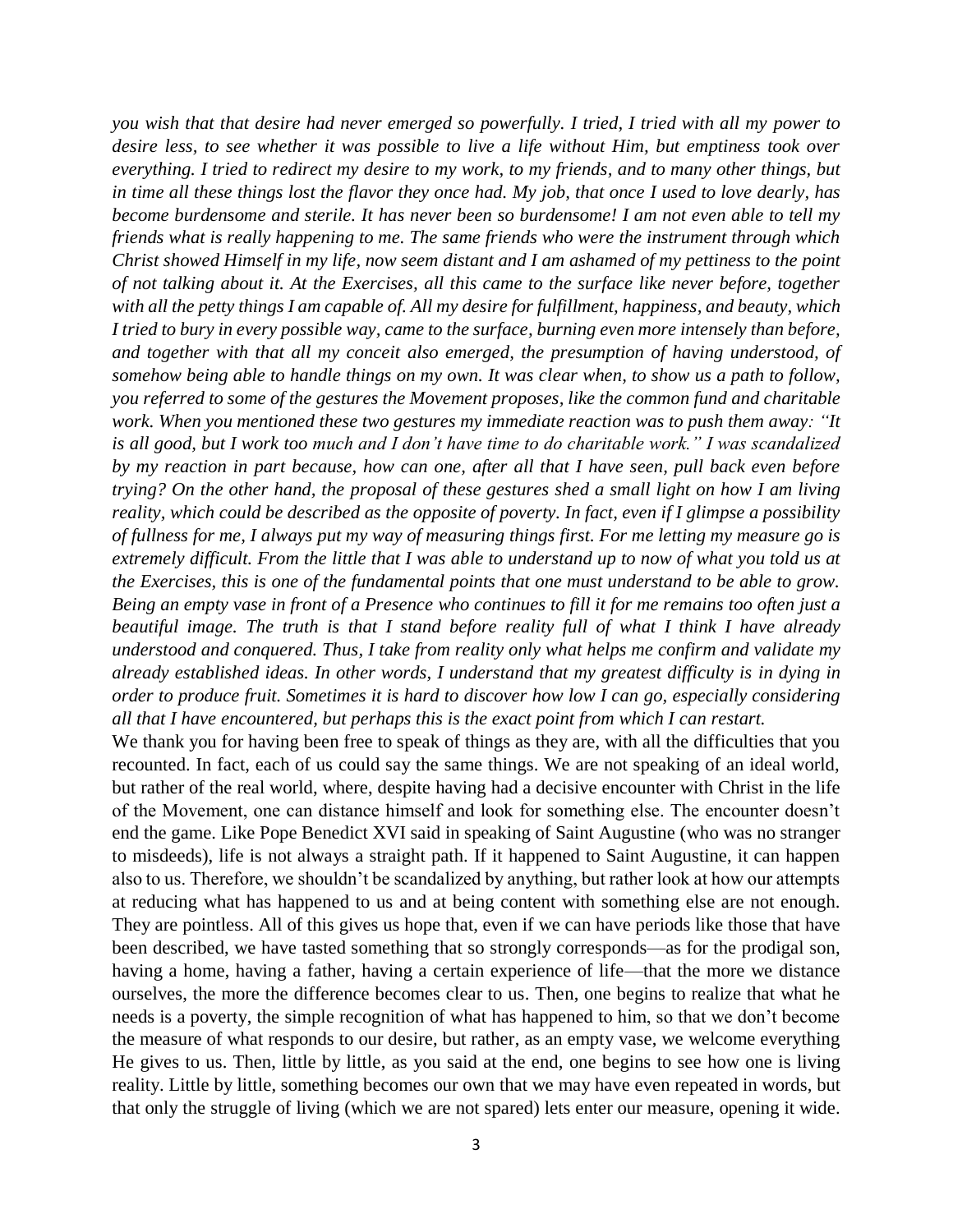*you wish that that desire had never emerged so powerfully. I tried, I tried with all my power to desire less, to see whether it was possible to live a life without Him, but emptiness took over everything. I tried to redirect my desire to my work, to my friends, and to many other things, but in time all these things lost the flavor they once had. My job, that once I used to love dearly, has become burdensome and sterile. It has never been so burdensome! I am not even able to tell my friends what is really happening to me. The same friends who were the instrument through which Christ showed Himself in my life, now seem distant and I am ashamed of my pettiness to the point of not talking about it. At the Exercises, all this came to the surface like never before, together with all the petty things I am capable of. All my desire for fulfillment, happiness, and beauty, which I tried to bury in every possible way, came to the surface, burning even more intensely than before, and together with that all my conceit also emerged, the presumption of having understood, of somehow being able to handle things on my own. It was clear when, to show us a path to follow, you referred to some of the gestures the Movement proposes, like the common fund and charitable work. When you mentioned these two gestures my immediate reaction was to push them away: "It is all good, but I work too much and I don't have time to do charitable work." I was scandalized by my reaction in part because, how can one, after all that I have seen, pull back even before trying? On the other hand, the proposal of these gestures shed a small light on how I am living reality, which could be described as the opposite of poverty. In fact, even if I glimpse a possibility of fullness for me, I always put my way of measuring things first. For me letting my measure go is extremely difficult. From the little that I was able to understand up to now of what you told us at the Exercises, this is one of the fundamental points that one must understand to be able to grow. Being an empty vase in front of a Presence who continues to fill it for me remains too often just a beautiful image. The truth is that I stand before reality full of what I think I have already understood and conquered. Thus, I take from reality only what helps me confirm and validate my already established ideas. In other words, I understand that my greatest difficulty is in dying in order to produce fruit. Sometimes it is hard to discover how low I can go, especially considering all that I have encountered, but perhaps this is the exact point from which I can restart.*

We thank you for having been free to speak of things as they are, with all the difficulties that you recounted. In fact, each of us could say the same things. We are not speaking of an ideal world, but rather of the real world, where, despite having had a decisive encounter with Christ in the life of the Movement, one can distance himself and look for something else. The encounter doesn't end the game. Like Pope Benedict XVI said in speaking of Saint Augustine (who was no stranger to misdeeds), life is not always a straight path. If it happened to Saint Augustine, it can happen also to us. Therefore, we shouldn't be scandalized by anything, but rather look at how our attempts at reducing what has happened to us and at being content with something else are not enough. They are pointless. All of this gives us hope that, even if we can have periods like those that have been described, we have tasted something that so strongly corresponds—as for the prodigal son, having a home, having a father, having a certain experience of life—that the more we distance ourselves, the more the difference becomes clear to us. Then, one begins to realize that what he needs is a poverty, the simple recognition of what has happened to him, so that we don't become the measure of what responds to our desire, but rather, as an empty vase, we welcome everything He gives to us. Then, little by little, as you said at the end, one begins to see how one is living reality. Little by little, something becomes our own that we may have even repeated in words, but that only the struggle of living (which we are not spared) lets enter our measure, opening it wide.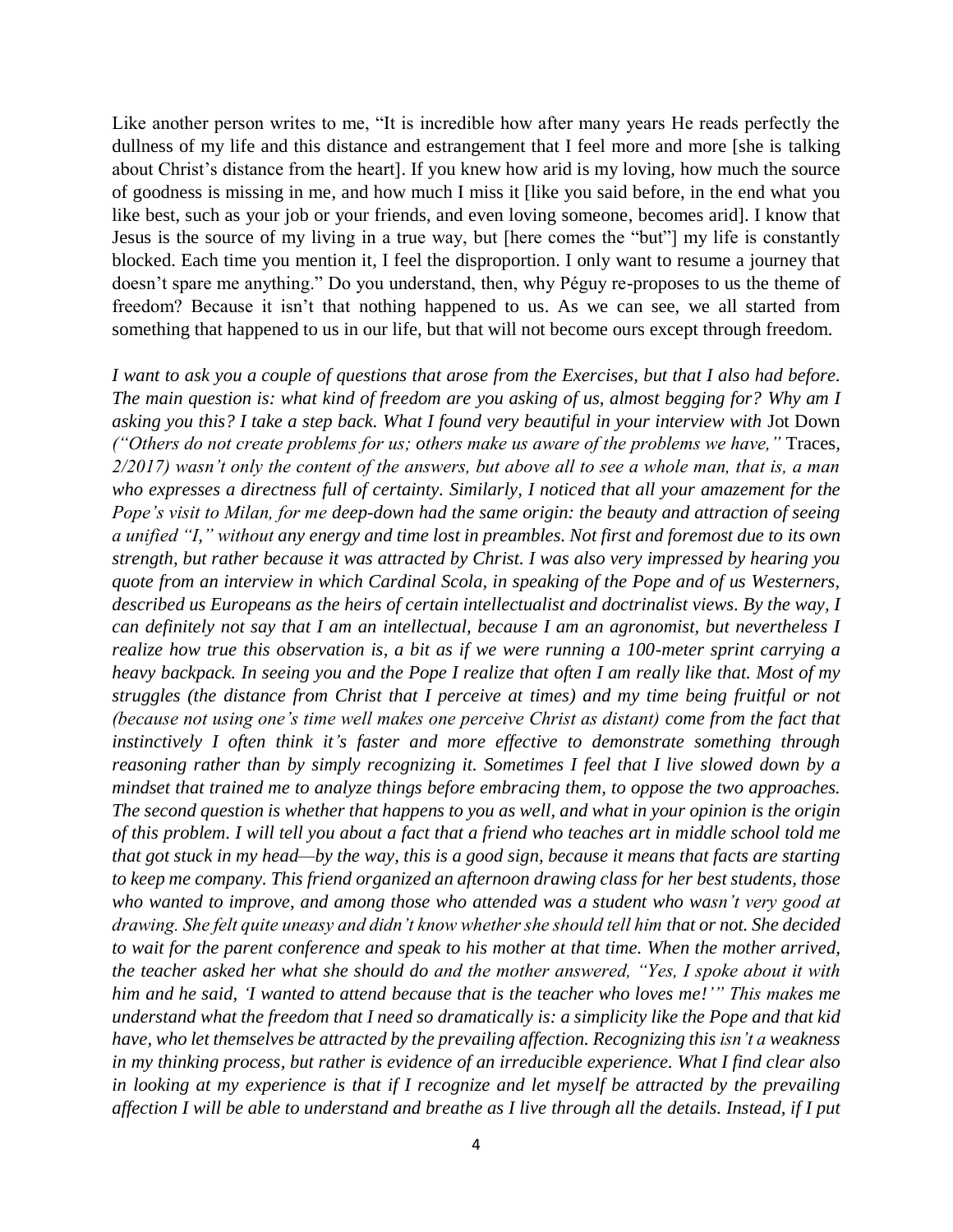Like another person writes to me, "It is incredible how after many years He reads perfectly the dullness of my life and this distance and estrangement that I feel more and more [she is talking about Christ's distance from the heart]. If you knew how arid is my loving, how much the source of goodness is missing in me, and how much I miss it [like you said before, in the end what you like best, such as your job or your friends, and even loving someone, becomes arid]. I know that Jesus is the source of my living in a true way, but [here comes the "but"] my life is constantly blocked. Each time you mention it, I feel the disproportion. I only want to resume a journey that doesn't spare me anything." Do you understand, then, why Péguy re-proposes to us the theme of freedom? Because it isn't that nothing happened to us. As we can see, we all started from something that happened to us in our life, but that will not become ours except through freedom.

*I want to ask you a couple of questions that arose from the Exercises, but that I also had before. The main question is: what kind of freedom are you asking of us, almost begging for? Why am I asking you this? I take a step back. What I found very beautiful in your interview with* Jot Down *("Others do not create problems for us; others make us aware of the problems we have,"* Traces*, 2/2017) wasn't only the content of the answers, but above all to see a whole man, that is, a man who expresses a directness full of certainty. Similarly, I noticed that all your amazement for the Pope's visit to Milan, for me deep-down had the same origin: the beauty and attraction of seeing a unified "I," without any energy and time lost in preambles. Not first and foremost due to its own strength, but rather because it was attracted by Christ. I was also very impressed by hearing you quote from an interview in which Cardinal Scola, in speaking of the Pope and of us Westerners, described us Europeans as the heirs of certain intellectualist and doctrinalist views. By the way, I can definitely not say that I am an intellectual, because I am an agronomist, but nevertheless I realize how true this observation is, a bit as if we were running a 100-meter sprint carrying a heavy backpack. In seeing you and the Pope I realize that often I am really like that. Most of my struggles (the distance from Christ that I perceive at times) and my time being fruitful or not (because not using one's time well makes one perceive Christ as distant) come from the fact that instinctively I often think it's faster and more effective to demonstrate something through reasoning rather than by simply recognizing it. Sometimes I feel that I live slowed down by a mindset that trained me to analyze things before embracing them, to oppose the two approaches. The second question is whether that happens to you as well, and what in your opinion is the origin of this problem. I will tell you about a fact that a friend who teaches art in middle school told me that got stuck in my head—by the way, this is a good sign, because it means that facts are starting to keep me company. This friend organized an afternoon drawing class for her best students, those who wanted to improve, and among those who attended was a student who wasn't very good at drawing. She felt quite uneasy and didn't know whether she should tell him that or not. She decided to wait for the parent conference and speak to his mother at that time. When the mother arrived, the teacher asked her what she should do and the mother answered, "Yes, I spoke about it with him and he said, 'I wanted to attend because that is the teacher who loves me!'" This makes me understand what the freedom that I need so dramatically is: a simplicity like the Pope and that kid have, who let themselves be attracted by the prevailing affection. Recognizing this isn't a weakness in my thinking process, but rather is evidence of an irreducible experience. What I find clear also in looking at my experience is that if I recognize and let myself be attracted by the prevailing affection I will be able to understand and breathe as I live through all the details. Instead, if I put*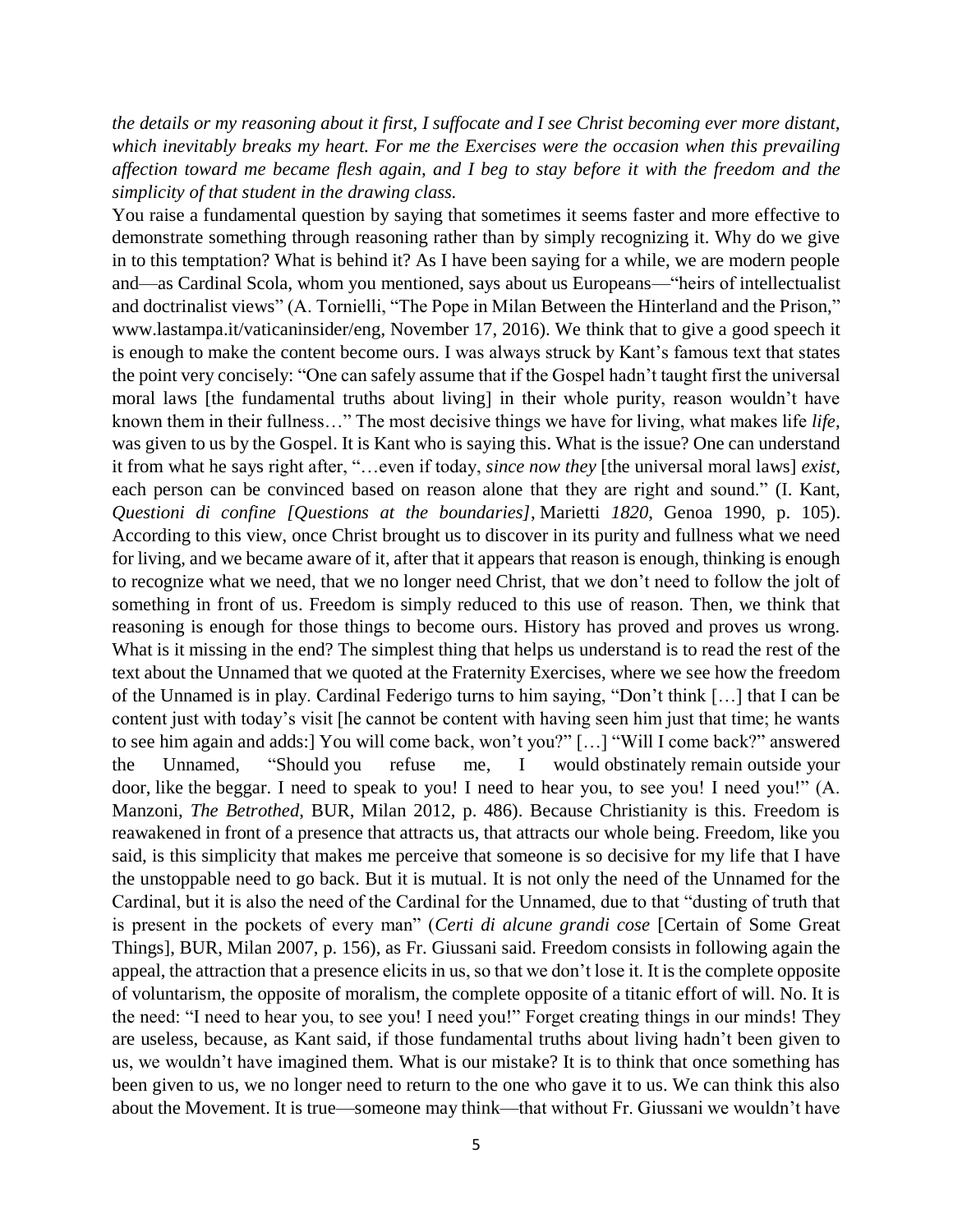*the details or my reasoning about it first, I suffocate and I see Christ becoming ever more distant, which inevitably breaks my heart. For me the Exercises were the occasion when this prevailing affection toward me became flesh again, and I beg to stay before it with the freedom and the simplicity of that student in the drawing class.*

You raise a fundamental question by saying that sometimes it seems faster and more effective to demonstrate something through reasoning rather than by simply recognizing it. Why do we give in to this temptation? What is behind it? As I have been saying for a while, we are modern people and—as Cardinal Scola, whom you mentioned, says about us Europeans—"heirs of intellectualist and doctrinalist views" (A. Tornielli, "The Pope in Milan Between the Hinterland and the Prison," www.lastampa.it/vaticaninsider/eng, November 17, 2016). We think that to give a good speech it is enough to make the content become ours. I was always struck by Kant's famous text that states the point very concisely: "One can safely assume that if the Gospel hadn't taught first the universal moral laws [the fundamental truths about living] in their whole purity, reason wouldn't have known them in their fullness…" The most decisive things we have for living, what makes life *life,*  was given to us by the Gospel. It is Kant who is saying this. What is the issue? One can understand it from what he says right after, "…even if today, *since now they* [the universal moral laws] *exist*, each person can be convinced based on reason alone that they are right and sound." (I. Kant, *Questioni di confine [Questions at the boundaries]*, Marietti *1820*, Genoa 1990, p. 105). According to this view, once Christ brought us to discover in its purity and fullness what we need for living, and we became aware of it, after that it appears that reason is enough, thinking is enough to recognize what we need, that we no longer need Christ, that we don't need to follow the jolt of something in front of us. Freedom is simply reduced to this use of reason. Then, we think that reasoning is enough for those things to become ours. History has proved and proves us wrong. What is it missing in the end? The simplest thing that helps us understand is to read the rest of the text about the Unnamed that we quoted at the Fraternity Exercises, where we see how the freedom of the Unnamed is in play. Cardinal Federigo turns to him saying, "Don't think […] that I can be content just with today's visit [he cannot be content with having seen him just that time; he wants to see him again and adds:] You will come back, won't you?" […] "Will I come back?" answered the Unnamed, "Should you refuse me, I would obstinately remain outside your door, like the beggar. I need to speak to you! I need to hear you, to see you! I need you!" (A. Manzoni, *The Betrothed*, BUR, Milan 2012, p. 486). Because Christianity is this. Freedom is reawakened in front of a presence that attracts us, that attracts our whole being. Freedom, like you said, is this simplicity that makes me perceive that someone is so decisive for my life that I have the unstoppable need to go back. But it is mutual. It is not only the need of the Unnamed for the Cardinal, but it is also the need of the Cardinal for the Unnamed, due to that "dusting of truth that is present in the pockets of every man" (*Certi di alcune grandi cose* [Certain of Some Great Things], BUR, Milan 2007, p. 156), as Fr. Giussani said. Freedom consists in following again the appeal, the attraction that a presence elicits in us, so that we don't lose it. It is the complete opposite of voluntarism, the opposite of moralism, the complete opposite of a titanic effort of will. No. It is the need: "I need to hear you, to see you! I need you!" Forget creating things in our minds! They are useless, because, as Kant said, if those fundamental truths about living hadn't been given to us, we wouldn't have imagined them. What is our mistake? It is to think that once something has been given to us, we no longer need to return to the one who gave it to us. We can think this also about the Movement. It is true—someone may think—that without Fr. Giussani we wouldn't have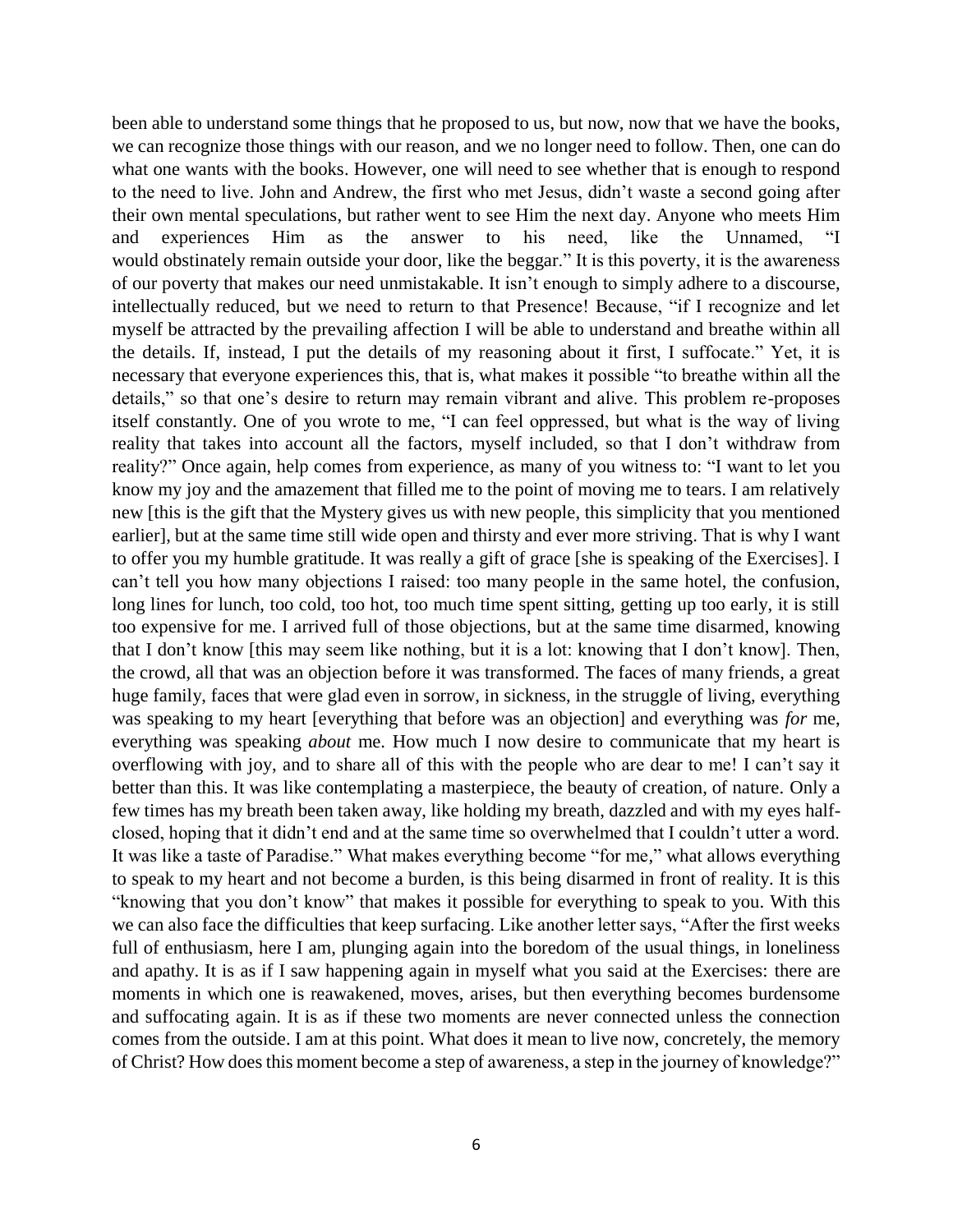been able to understand some things that he proposed to us, but now, now that we have the books, we can recognize those things with our reason, and we no longer need to follow. Then, one can do what one wants with the books. However, one will need to see whether that is enough to respond to the need to live. John and Andrew, the first who met Jesus, didn't waste a second going after their own mental speculations, but rather went to see Him the next day. Anyone who meets Him and experiences Him as the answer to his need, like the Unnamed, "I would obstinately remain outside your door, like the beggar." It is this poverty, it is the awareness of our poverty that makes our need unmistakable. It isn't enough to simply adhere to a discourse, intellectually reduced, but we need to return to that Presence! Because, "if I recognize and let myself be attracted by the prevailing affection I will be able to understand and breathe within all the details. If, instead, I put the details of my reasoning about it first, I suffocate." Yet, it is necessary that everyone experiences this, that is, what makes it possible "to breathe within all the details," so that one's desire to return may remain vibrant and alive. This problem re-proposes itself constantly. One of you wrote to me, "I can feel oppressed, but what is the way of living reality that takes into account all the factors, myself included, so that I don't withdraw from reality?" Once again, help comes from experience, as many of you witness to: "I want to let you know my joy and the amazement that filled me to the point of moving me to tears. I am relatively new [this is the gift that the Mystery gives us with new people, this simplicity that you mentioned earlier], but at the same time still wide open and thirsty and ever more striving. That is why I want to offer you my humble gratitude. It was really a gift of grace [she is speaking of the Exercises]. I can't tell you how many objections I raised: too many people in the same hotel, the confusion, long lines for lunch, too cold, too hot, too much time spent sitting, getting up too early, it is still too expensive for me. I arrived full of those objections, but at the same time disarmed, knowing that I don't know [this may seem like nothing, but it is a lot: knowing that I don't know]. Then, the crowd, all that was an objection before it was transformed. The faces of many friends, a great huge family, faces that were glad even in sorrow, in sickness, in the struggle of living, everything was speaking to my heart [everything that before was an objection] and everything was *for* me, everything was speaking *about* me. How much I now desire to communicate that my heart is overflowing with joy, and to share all of this with the people who are dear to me! I can't say it better than this. It was like contemplating a masterpiece, the beauty of creation, of nature. Only a few times has my breath been taken away, like holding my breath, dazzled and with my eyes halfclosed, hoping that it didn't end and at the same time so overwhelmed that I couldn't utter a word. It was like a taste of Paradise." What makes everything become "for me," what allows everything to speak to my heart and not become a burden, is this being disarmed in front of reality. It is this "knowing that you don't know" that makes it possible for everything to speak to you. With this we can also face the difficulties that keep surfacing. Like another letter says, "After the first weeks full of enthusiasm, here I am, plunging again into the boredom of the usual things, in loneliness and apathy. It is as if I saw happening again in myself what you said at the Exercises: there are moments in which one is reawakened, moves, arises, but then everything becomes burdensome and suffocating again. It is as if these two moments are never connected unless the connection comes from the outside. I am at this point. What does it mean to live now, concretely, the memory of Christ? How does this moment become a step of awareness, a step in the journey of knowledge?"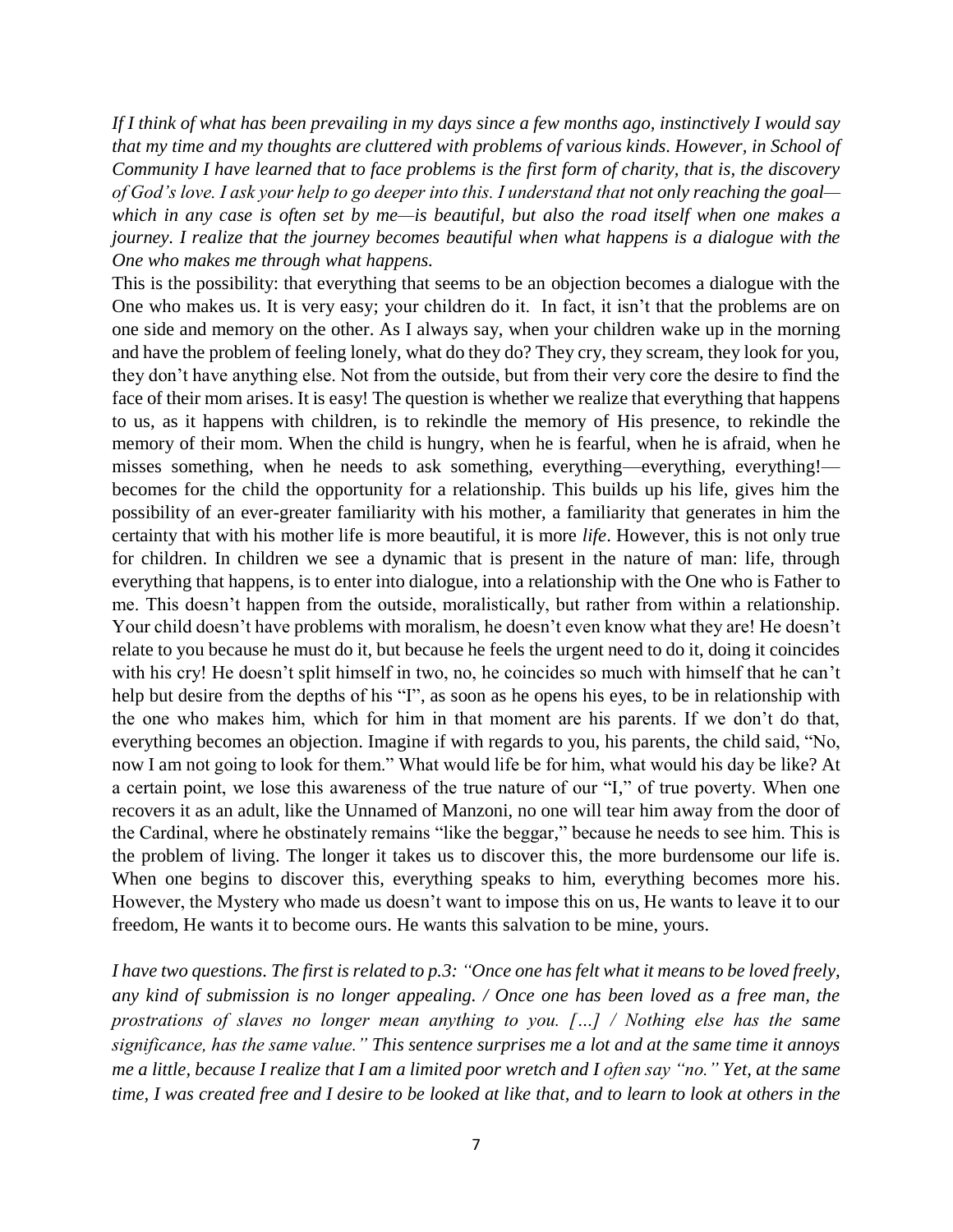*If I think of what has been prevailing in my days since a few months ago, instinctively I would say that my time and my thoughts are cluttered with problems of various kinds. However, in School of Community I have learned that to face problems is the first form of charity, that is, the discovery of God's love. I ask your help to go deeper into this. I understand that not only reaching the goal which in any case is often set by me—is beautiful, but also the road itself when one makes a journey. I realize that the journey becomes beautiful when what happens is a dialogue with the One who makes me through what happens.*

This is the possibility: that everything that seems to be an objection becomes a dialogue with the One who makes us. It is very easy; your children do it. In fact, it isn't that the problems are on one side and memory on the other. As I always say, when your children wake up in the morning and have the problem of feeling lonely, what do they do? They cry, they scream, they look for you, they don't have anything else. Not from the outside, but from their very core the desire to find the face of their mom arises. It is easy! The question is whether we realize that everything that happens to us, as it happens with children, is to rekindle the memory of His presence, to rekindle the memory of their mom. When the child is hungry, when he is fearful, when he is afraid, when he misses something, when he needs to ask something, everything—everything, everything! becomes for the child the opportunity for a relationship. This builds up his life, gives him the possibility of an ever-greater familiarity with his mother, a familiarity that generates in him the certainty that with his mother life is more beautiful, it is more *life*. However, this is not only true for children. In children we see a dynamic that is present in the nature of man: life, through everything that happens, is to enter into dialogue, into a relationship with the One who is Father to me. This doesn't happen from the outside, moralistically, but rather from within a relationship. Your child doesn't have problems with moralism, he doesn't even know what they are! He doesn't relate to you because he must do it, but because he feels the urgent need to do it, doing it coincides with his cry! He doesn't split himself in two, no, he coincides so much with himself that he can't help but desire from the depths of his "I", as soon as he opens his eyes, to be in relationship with the one who makes him, which for him in that moment are his parents. If we don't do that, everything becomes an objection. Imagine if with regards to you, his parents, the child said, "No, now I am not going to look for them." What would life be for him, what would his day be like? At a certain point, we lose this awareness of the true nature of our "I," of true poverty. When one recovers it as an adult, like the Unnamed of Manzoni, no one will tear him away from the door of the Cardinal, where he obstinately remains "like the beggar," because he needs to see him. This is the problem of living. The longer it takes us to discover this, the more burdensome our life is. When one begins to discover this, everything speaks to him, everything becomes more his. However, the Mystery who made us doesn't want to impose this on us, He wants to leave it to our freedom, He wants it to become ours. He wants this salvation to be mine, yours.

*I have two questions. The first is related to p.3: "Once one has felt what it means to be loved freely, any kind of submission is no longer appealing. / Once one has been loved as a free man, the prostrations of slaves no longer mean anything to you. […] / Nothing else has the same significance, has the same value." This sentence surprises me a lot and at the same time it annoys me a little, because I realize that I am a limited poor wretch and I often say "no." Yet, at the same time, I was created free and I desire to be looked at like that, and to learn to look at others in the*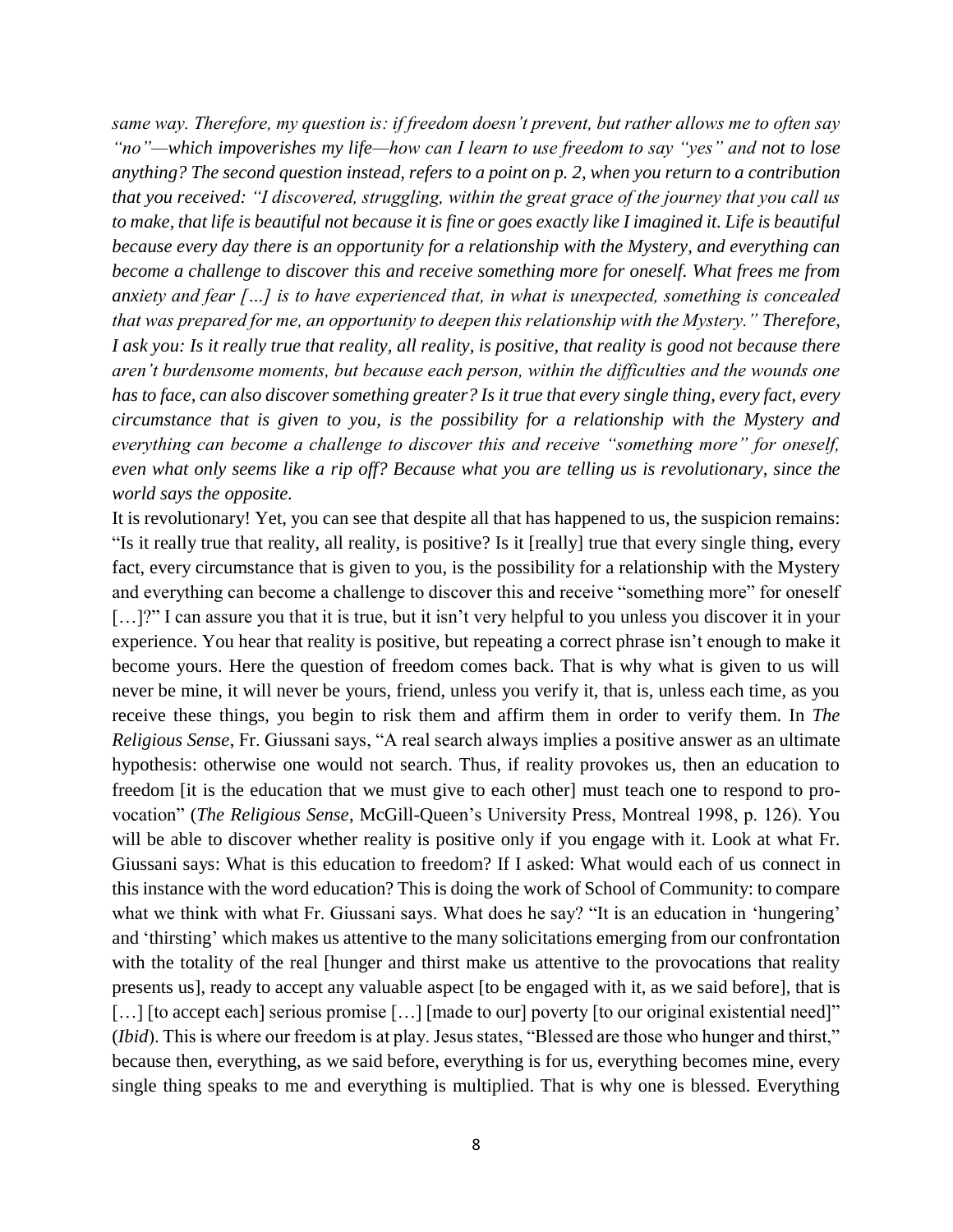*same way. Therefore, my question is: if freedom doesn't prevent, but rather allows me to often say "no"—which impoverishes my life—how can I learn to use freedom to say "yes" and not to lose anything? The second question instead, refers to a point on p. 2, when you return to a contribution that you received: "I discovered, struggling, within the great grace of the journey that you call us to make, that life is beautiful not because it is fine or goes exactly like I imagined it. Life is beautiful because every day there is an opportunity for a relationship with the Mystery, and everything can become a challenge to discover this and receive something more for oneself. What frees me from anxiety and fear […] is to have experienced that, in what is unexpected, something is concealed that was prepared for me, an opportunity to deepen this relationship with the Mystery." Therefore, I ask you: Is it really true that reality, all reality, is positive, that reality is good not because there aren't burdensome moments, but because each person, within the difficulties and the wounds one has to face, can also discover something greater? Is it true that every single thing, every fact, every circumstance that is given to you, is the possibility for a relationship with the Mystery and everything can become a challenge to discover this and receive "something more" for oneself, even what only seems like a rip off? Because what you are telling us is revolutionary, since the world says the opposite.*

It is revolutionary! Yet, you can see that despite all that has happened to us, the suspicion remains: "Is it really true that reality, all reality, is positive? Is it [really] true that every single thing, every fact, every circumstance that is given to you, is the possibility for a relationship with the Mystery and everything can become a challenge to discover this and receive "something more" for oneself [...]?" I can assure you that it is true, but it isn't very helpful to you unless you discover it in your experience. You hear that reality is positive, but repeating a correct phrase isn't enough to make it become yours. Here the question of freedom comes back. That is why what is given to us will never be mine, it will never be yours, friend, unless you verify it, that is, unless each time, as you receive these things, you begin to risk them and affirm them in order to verify them. In *The Religious Sense*, Fr. Giussani says, "A real search always implies a positive answer as an ultimate hypothesis: otherwise one would not search. Thus, if reality provokes us, then an education to freedom [it is the education that we must give to each other] must teach one to respond to provocation" (*The Religious Sense*, McGill-Queen's University Press, Montreal 1998, p. 126). You will be able to discover whether reality is positive only if you engage with it. Look at what Fr. Giussani says: What is this education to freedom? If I asked: What would each of us connect in this instance with the word education? This is doing the work of School of Community: to compare what we think with what Fr. Giussani says. What does he say? "It is an education in 'hungering' and 'thirsting' which makes us attentive to the many solicitations emerging from our confrontation with the totality of the real [hunger and thirst make us attentive to the provocations that reality presents us], ready to accept any valuable aspect [to be engaged with it, as we said before], that is [...] [to accept each] serious promise [...] [made to our] poverty [to our original existential need]" (*Ibid*). This is where our freedom is at play. Jesus states, "Blessed are those who hunger and thirst," because then, everything, as we said before, everything is for us, everything becomes mine, every single thing speaks to me and everything is multiplied. That is why one is blessed. Everything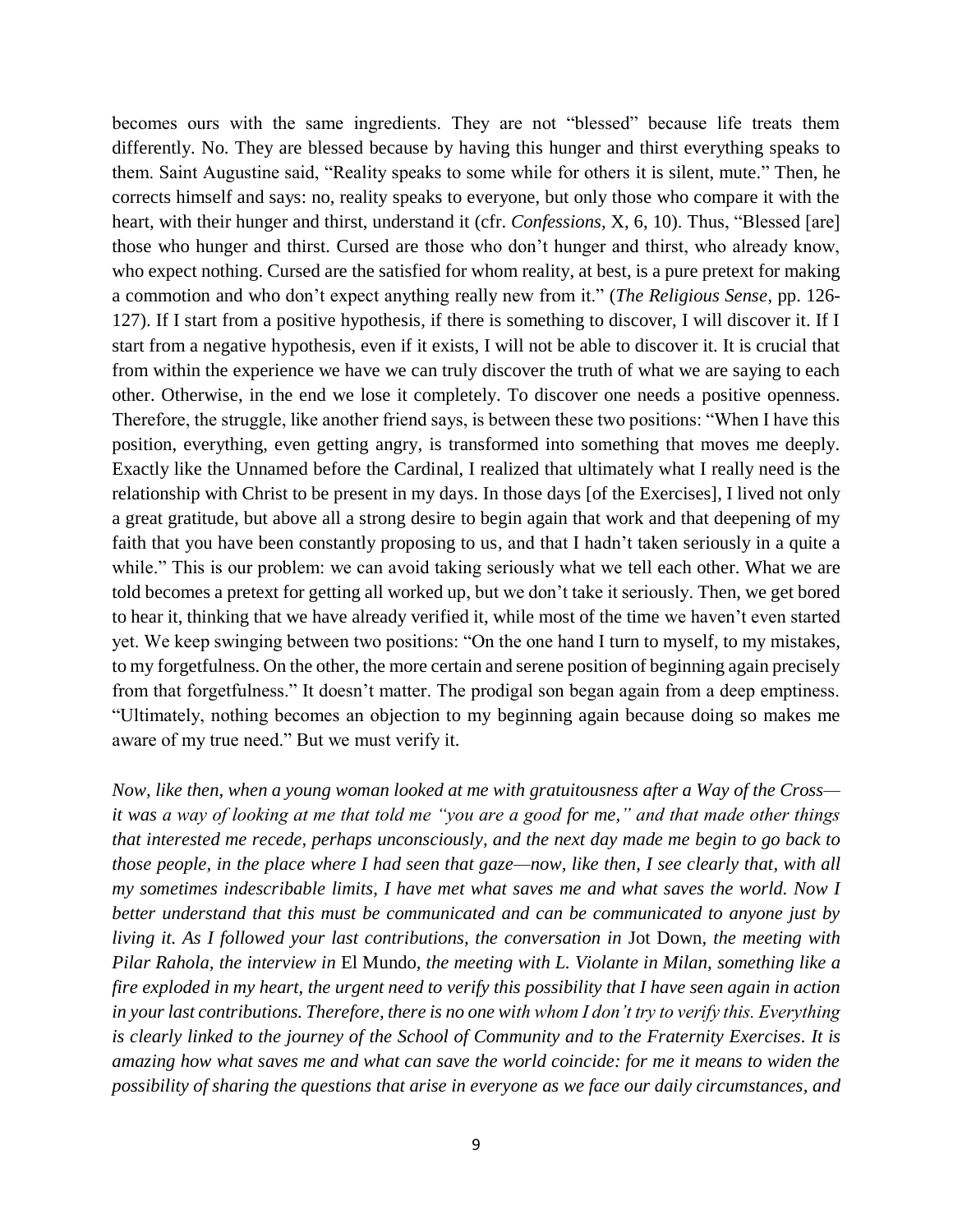becomes ours with the same ingredients. They are not "blessed" because life treats them differently. No. They are blessed because by having this hunger and thirst everything speaks to them. Saint Augustine said, "Reality speaks to some while for others it is silent, mute." Then, he corrects himself and says: no, reality speaks to everyone, but only those who compare it with the heart, with their hunger and thirst, understand it (cfr. *Confessions*, X, 6, 10). Thus, "Blessed [are] those who hunger and thirst. Cursed are those who don't hunger and thirst, who already know, who expect nothing. Cursed are the satisfied for whom reality, at best, is a pure pretext for making a commotion and who don't expect anything really new from it." (*The Religious Sense*, pp. 126- 127). If I start from a positive hypothesis, if there is something to discover, I will discover it. If I start from a negative hypothesis, even if it exists, I will not be able to discover it. It is crucial that from within the experience we have we can truly discover the truth of what we are saying to each other. Otherwise, in the end we lose it completely. To discover one needs a positive openness. Therefore, the struggle, like another friend says, is between these two positions: "When I have this position, everything, even getting angry, is transformed into something that moves me deeply. Exactly like the Unnamed before the Cardinal, I realized that ultimately what I really need is the relationship with Christ to be present in my days. In those days [of the Exercises], I lived not only a great gratitude, but above all a strong desire to begin again that work and that deepening of my faith that you have been constantly proposing to us, and that I hadn't taken seriously in a quite a while." This is our problem: we can avoid taking seriously what we tell each other. What we are told becomes a pretext for getting all worked up, but we don't take it seriously. Then, we get bored to hear it, thinking that we have already verified it, while most of the time we haven't even started yet. We keep swinging between two positions: "On the one hand I turn to myself, to my mistakes, to my forgetfulness. On the other, the more certain and serene position of beginning again precisely from that forgetfulness." It doesn't matter. The prodigal son began again from a deep emptiness. "Ultimately, nothing becomes an objection to my beginning again because doing so makes me aware of my true need." But we must verify it.

*Now, like then, when a young woman looked at me with gratuitousness after a Way of the Cross it was a way of looking at me that told me "you are a good for me," and that made other things that interested me recede, perhaps unconsciously, and the next day made me begin to go back to those people, in the place where I had seen that gaze—now, like then, I see clearly that, with all my sometimes indescribable limits, I have met what saves me and what saves the world. Now I better understand that this must be communicated and can be communicated to anyone just by living it. As I followed your last contributions, the conversation in* Jot Down*, the meeting with Pilar Rahola, the interview in* El Mundo*, the meeting with L. Violante in Milan, something like a fire exploded in my heart, the urgent need to verify this possibility that I have seen again in action in your last contributions. Therefore, there is no one with whom I don't try to verify this. Everything is clearly linked to the journey of the School of Community and to the Fraternity Exercises. It is amazing how what saves me and what can save the world coincide: for me it means to widen the possibility of sharing the questions that arise in everyone as we face our daily circumstances, and*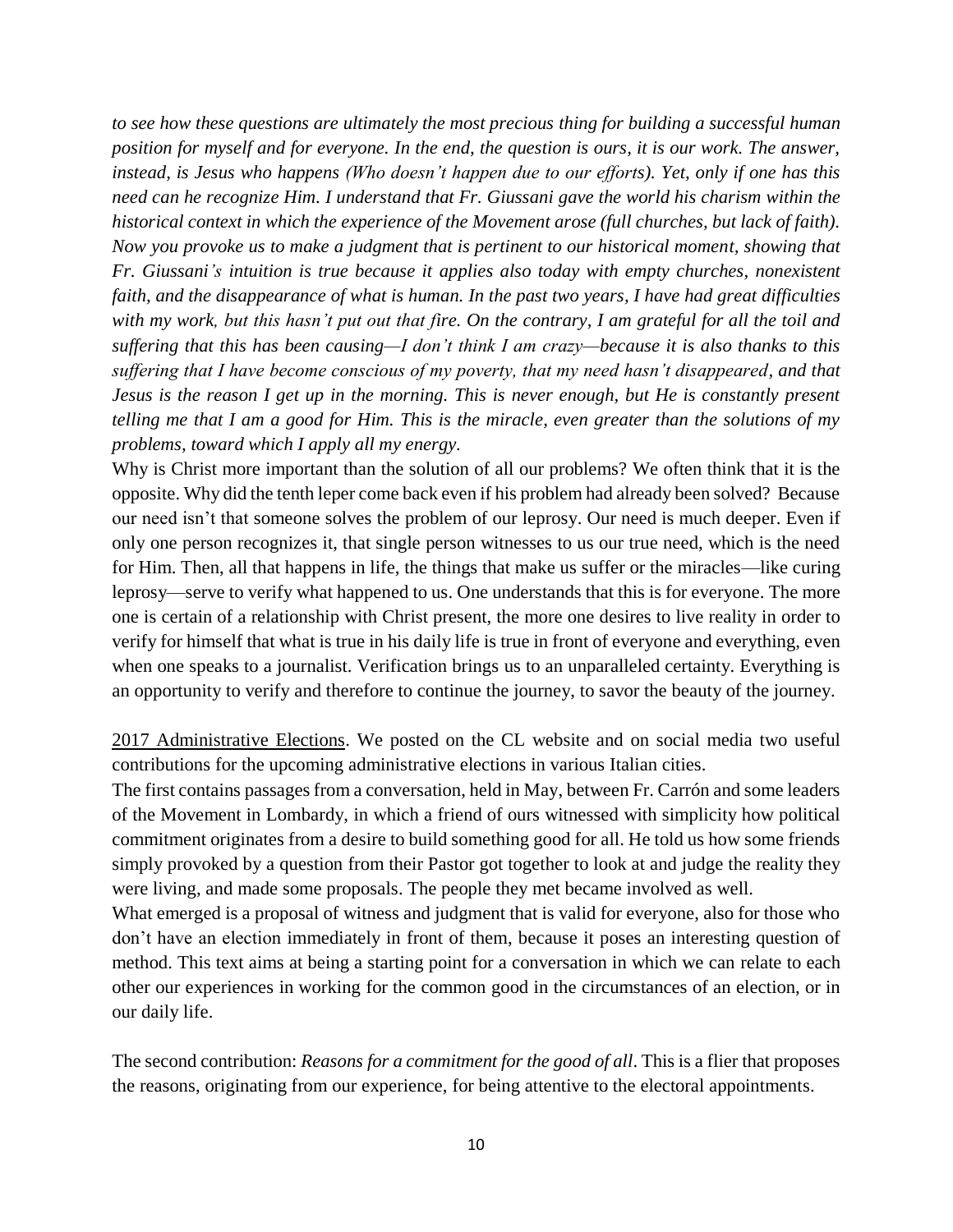*to see how these questions are ultimately the most precious thing for building a successful human position for myself and for everyone. In the end, the question is ours, it is our work. The answer, instead, is Jesus who happens (Who doesn't happen due to our efforts). Yet, only if one has this need can he recognize Him. I understand that Fr. Giussani gave the world his charism within the historical context in which the experience of the Movement arose (full churches, but lack of faith). Now you provoke us to make a judgment that is pertinent to our historical moment, showing that Fr. Giussani's intuition is true because it applies also today with empty churches, nonexistent faith, and the disappearance of what is human. In the past two years, I have had great difficulties with my work, but this hasn't put out that fire. On the contrary, I am grateful for all the toil and suffering that this has been causing—I don't think I am crazy—because it is also thanks to this suffering that I have become conscious of my poverty, that my need hasn't disappeared, and that Jesus is the reason I get up in the morning. This is never enough, but He is constantly present telling me that I am a good for Him. This is the miracle, even greater than the solutions of my problems, toward which I apply all my energy.*

Why is Christ more important than the solution of all our problems? We often think that it is the opposite. Why did the tenth leper come back even if his problem had already been solved? Because our need isn't that someone solves the problem of our leprosy. Our need is much deeper. Even if only one person recognizes it, that single person witnesses to us our true need, which is the need for Him. Then, all that happens in life, the things that make us suffer or the miracles—like curing leprosy—serve to verify what happened to us. One understands that this is for everyone. The more one is certain of a relationship with Christ present, the more one desires to live reality in order to verify for himself that what is true in his daily life is true in front of everyone and everything, even when one speaks to a journalist. Verification brings us to an unparalleled certainty. Everything is an opportunity to verify and therefore to continue the journey, to savor the beauty of the journey.

2017 Administrative Elections. We posted on the CL website and on social media two useful contributions for the upcoming administrative elections in various Italian cities.

The first contains passages from a conversation, held in May, between Fr. Carrón and some leaders of the Movement in Lombardy, in which a friend of ours witnessed with simplicity how political commitment originates from a desire to build something good for all. He told us how some friends simply provoked by a question from their Pastor got together to look at and judge the reality they were living, and made some proposals. The people they met became involved as well.

What emerged is a proposal of witness and judgment that is valid for everyone, also for those who don't have an election immediately in front of them, because it poses an interesting question of method. This text aims at being a starting point for a conversation in which we can relate to each other our experiences in working for the common good in the circumstances of an election, or in our daily life.

The second contribution: *Reasons for a commitment for the good of all*. This is a flier that proposes the reasons, originating from our experience, for being attentive to the electoral appointments.